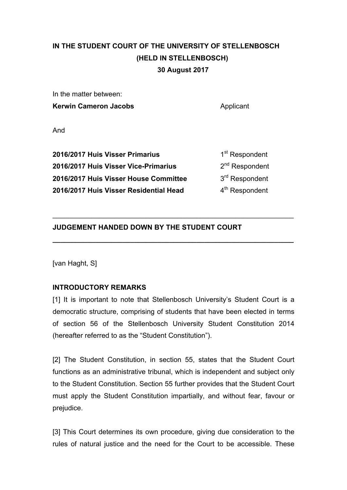# **IN THE STUDENT COURT OF THE UNIVERSITY OF STELLENBOSCH (HELD IN STELLENBOSCH) 30 August 2017**

In the matter between: **Kerwin Cameron Jacobs Applicant** 

And

| 2016/2017 Huis Visser Primarius        | 1 <sup>st</sup> Respondent |
|----------------------------------------|----------------------------|
| 2016/2017 Huis Visser Vice-Primarius   | 2 <sup>nd</sup> Respondent |
| 2016/2017 Huis Visser House Committee  | 3 <sup>rd</sup> Respondent |
| 2016/2017 Huis Visser Residential Head | 4 <sup>th</sup> Respondent |

 $\_$ 

**\_\_\_\_\_\_\_\_\_\_\_\_\_\_\_\_\_\_\_\_\_\_\_\_\_\_\_\_\_\_\_\_\_\_\_\_\_\_\_\_\_\_\_\_\_\_\_\_\_\_\_\_\_\_\_\_\_\_\_\_\_\_**

## **JUDGEMENT HANDED DOWN BY THE STUDENT COURT**

[van Haght, S]

## **INTRODUCTORY REMARKS**

[1] It is important to note that Stellenbosch University's Student Court is a democratic structure, comprising of students that have been elected in terms of section 56 of the Stellenbosch University Student Constitution 2014 (hereafter referred to as the "Student Constitution").

[2] The Student Constitution, in section 55, states that the Student Court functions as an administrative tribunal, which is independent and subject only to the Student Constitution. Section 55 further provides that the Student Court must apply the Student Constitution impartially, and without fear, favour or prejudice.

[3] This Court determines its own procedure, giving due consideration to the rules of natural justice and the need for the Court to be accessible. These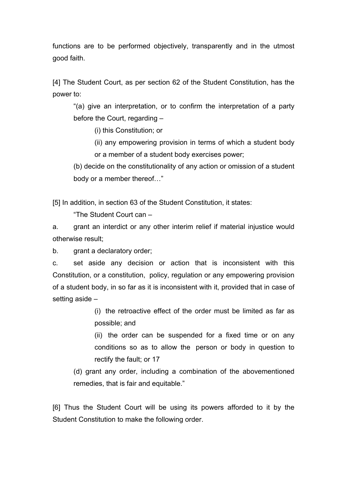functions are to be performed objectively, transparently and in the utmost good faith.

[4] The Student Court, as per section 62 of the Student Constitution, has the power to:

"(a) give an interpretation, or to confirm the interpretation of a party before the Court, regarding –

(i) this Constitution; or

(ii) any empowering provision in terms of which a student body or a member of a student body exercises power;

(b) decide on the constitutionality of any action or omission of a student body or a member thereof…"

[5] In addition, in section 63 of the Student Constitution, it states:

"The Student Court can –

a. grant an interdict or any other interim relief if material injustice would otherwise result;

b. grant a declaratory order;

c. set aside any decision or action that is inconsistent with this Constitution, or a constitution, policy, regulation or any empowering provision of a student body, in so far as it is inconsistent with it, provided that in case of setting aside –

> (i) the retroactive effect of the order must be limited as far as possible; and

> (ii) the order can be suspended for a fixed time or on any conditions so as to allow the person or body in question to rectify the fault; or 17

(d) grant any order, including a combination of the abovementioned remedies, that is fair and equitable."

[6] Thus the Student Court will be using its powers afforded to it by the Student Constitution to make the following order.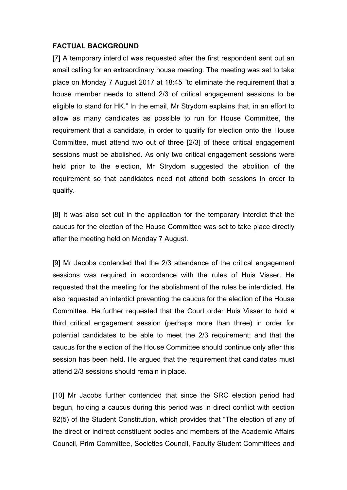#### **FACTUAL BACKGROUND**

[7] A temporary interdict was requested after the first respondent sent out an email calling for an extraordinary house meeting. The meeting was set to take place on Monday 7 August 2017 at 18:45 "to eliminate the requirement that a house member needs to attend 2/3 of critical engagement sessions to be eligible to stand for HK." In the email, Mr Strydom explains that, in an effort to allow as many candidates as possible to run for House Committee, the requirement that a candidate, in order to qualify for election onto the House Committee, must attend two out of three [2/3] of these critical engagement sessions must be abolished. As only two critical engagement sessions were held prior to the election, Mr Strydom suggested the abolition of the requirement so that candidates need not attend both sessions in order to qualify.

[8] It was also set out in the application for the temporary interdict that the caucus for the election of the House Committee was set to take place directly after the meeting held on Monday 7 August.

[9] Mr Jacobs contended that the 2/3 attendance of the critical engagement sessions was required in accordance with the rules of Huis Visser. He requested that the meeting for the abolishment of the rules be interdicted. He also requested an interdict preventing the caucus for the election of the House Committee. He further requested that the Court order Huis Visser to hold a third critical engagement session (perhaps more than three) in order for potential candidates to be able to meet the 2/3 requirement; and that the caucus for the election of the House Committee should continue only after this session has been held. He argued that the requirement that candidates must attend 2/3 sessions should remain in place.

[10] Mr Jacobs further contended that since the SRC election period had begun, holding a caucus during this period was in direct conflict with section 92(5) of the Student Constitution, which provides that "The election of any of the direct or indirect constituent bodies and members of the Academic Affairs Council, Prim Committee, Societies Council, Faculty Student Committees and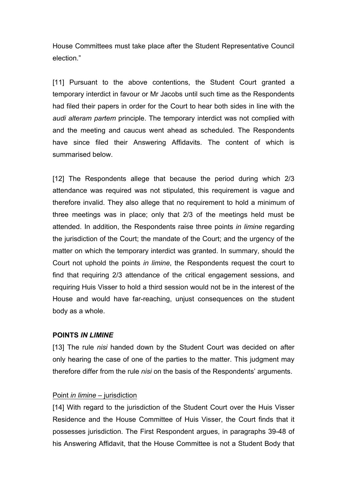House Committees must take place after the Student Representative Council election."

[11] Pursuant to the above contentions, the Student Court granted a temporary interdict in favour or Mr Jacobs until such time as the Respondents had filed their papers in order for the Court to hear both sides in line with the *audi alteram partem* principle. The temporary interdict was not complied with and the meeting and caucus went ahead as scheduled. The Respondents have since filed their Answering Affidavits. The content of which is summarised below.

[12] The Respondents allege that because the period during which 2/3 attendance was required was not stipulated, this requirement is vague and therefore invalid. They also allege that no requirement to hold a minimum of three meetings was in place; only that 2/3 of the meetings held must be attended. In addition, the Respondents raise three points *in limine* regarding the jurisdiction of the Court; the mandate of the Court; and the urgency of the matter on which the temporary interdict was granted. In summary, should the Court not uphold the points *in limine*, the Respondents request the court to find that requiring 2/3 attendance of the critical engagement sessions, and requiring Huis Visser to hold a third session would not be in the interest of the House and would have far-reaching, unjust consequences on the student body as a whole.

#### **POINTS** *IN LIMINE*

[13] The rule *nisi* handed down by the Student Court was decided on after only hearing the case of one of the parties to the matter. This judgment may therefore differ from the rule *nisi* on the basis of the Respondents' arguments.

## Point *in limine* – jurisdiction

[14] With regard to the jurisdiction of the Student Court over the Huis Visser Residence and the House Committee of Huis Visser, the Court finds that it possesses jurisdiction. The First Respondent argues, in paragraphs 39-48 of his Answering Affidavit, that the House Committee is not a Student Body that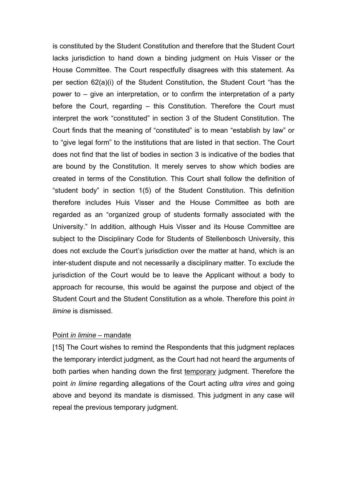is constituted by the Student Constitution and therefore that the Student Court lacks jurisdiction to hand down a binding judgment on Huis Visser or the House Committee. The Court respectfully disagrees with this statement. As per section 62(a)(i) of the Student Constitution, the Student Court "has the power to – give an interpretation, or to confirm the interpretation of a party before the Court, regarding – this Constitution. Therefore the Court must interpret the work "constituted" in section 3 of the Student Constitution. The Court finds that the meaning of "constituted" is to mean "establish by law" or to "give legal form" to the institutions that are listed in that section. The Court does not find that the list of bodies in section 3 is indicative of the bodies that are bound by the Constitution. It merely serves to show which bodies are created in terms of the Constitution. This Court shall follow the definition of "student body" in section 1(5) of the Student Constitution. This definition therefore includes Huis Visser and the House Committee as both are regarded as an "organized group of students formally associated with the University." In addition, although Huis Visser and its House Committee are subject to the Disciplinary Code for Students of Stellenbosch University, this does not exclude the Court's jurisdiction over the matter at hand, which is an inter-student dispute and not necessarily a disciplinary matter. To exclude the jurisdiction of the Court would be to leave the Applicant without a body to approach for recourse, this would be against the purpose and object of the Student Court and the Student Constitution as a whole. Therefore this point *in limine* is dismissed.

#### Point *in limine* – mandate

[15] The Court wishes to remind the Respondents that this judgment replaces the temporary interdict judgment, as the Court had not heard the arguments of both parties when handing down the first temporary judgment. Therefore the point *in limine* regarding allegations of the Court acting *ultra vires* and going above and beyond its mandate is dismissed. This judgment in any case will repeal the previous temporary judgment.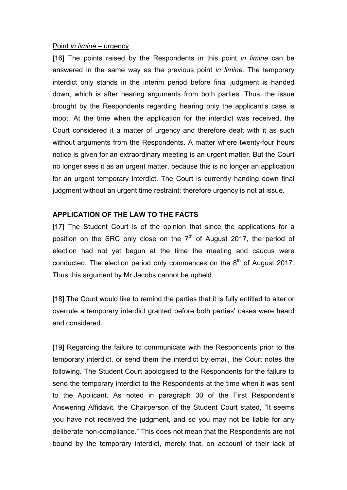#### Point *in limine* – urgency

[16] The points raised by the Respondents in this point *in limine* can be answered in the same way as the previous point *in limine*. The temporary interdict only stands in the interim period before final judgment is handed down, which is after hearing arguments from both parties. Thus, the issue brought by the Respondents regarding hearing only the applicant's case is moot. At the time when the application for the interdict was received, the Court considered it a matter of urgency and therefore dealt with it as such without arguments from the Respondents. A matter where twenty-four hours notice is given for an extraordinary meeting is an urgent matter. But the Court no longer sees it as an urgent matter, because this is no longer an application for an urgent temporary interdict. The Court is currently handing down final judgment without an urgent time restraint; therefore urgency is not at issue.

## **APPLICATION OF THE LAW TO THE FACTS**

[17] The Student Court is of the opinion that since the applications for a position on the SRC only close on the  $7<sup>th</sup>$  of August 2017, the period of election had not yet begun at the time the meeting and caucus were conducted. The election period only commences on the  $8<sup>th</sup>$  of August 2017. Thus this argument by Mr Jacobs cannot be upheld.

[18] The Court would like to remind the parties that it is fully entitled to alter or overrule a temporary interdict granted before both parties' cases were heard and considered.

[19] Regarding the failure to communicate with the Respondents prior to the temporary interdict, or send them the interdict by email, the Court notes the following. The Student Court apologised to the Respondents for the failure to send the temporary interdict to the Respondents at the time when it was sent to the Applicant. As noted in paragraph 30 of the First Respondent's Answering Affidavit, the Chairperson of the Student Court stated, "It seems you have not received the judgment, and so you may not be liable for any deliberate non-compliance." This does not mean that the Respondents are not bound by the temporary interdict, merely that, on account of their lack of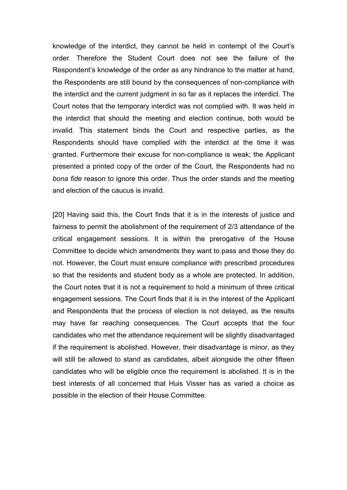knowledge of the interdict, they cannot be held in contempt of the Court's order. Therefore the Student Court does not see the failure of the Respondent's knowledge of the order as any hindrance to the matter at hand, the Respondents are still bound by the consequences of non-compliance with the interdict and the current judgment in so far as it replaces the interdict. The Court notes that the temporary interdict was not complied with. It was held in the interdict that should the meeting and election continue, both would be invalid. This statement binds the Court and respective parties, as the Respondents should have complied with the interdict at the time it was granted. Furthermore their excuse for non-compliance is weak; the Applicant presented a printed copy of the order of the Court, the Respondents had no *bona fide* reason to ignore this order. Thus the order stands and the meeting and election of the caucus is invalid.

[20] Having said this, the Court finds that it is in the interests of justice and fairness to permit the abolishment of the requirement of 2/3 attendance of the critical engagement sessions. It is within the prerogative of the House Committee to decide which amendments they want to pass and those they do not. However, the Court must ensure compliance with prescribed procedures so that the residents and student body as a whole are protected. In addition, the Court notes that it is not a requirement to hold a minimum of three critical engagement sessions. The Court finds that it is in the interest of the Applicant and Respondents that the process of election is not delayed, as the results may have far reaching consequences. The Court accepts that the four candidates who met the attendance requirement will be slightly disadvantaged if the requirement is abolished. However, their disadvantage is minor, as they will still be allowed to stand as candidates, albeit alongside the other fifteen candidates who will be eligible once the requirement is abolished. It is in the best interests of all concerned that Huis Visser has as varied a choice as possible in the election of their House Committee.